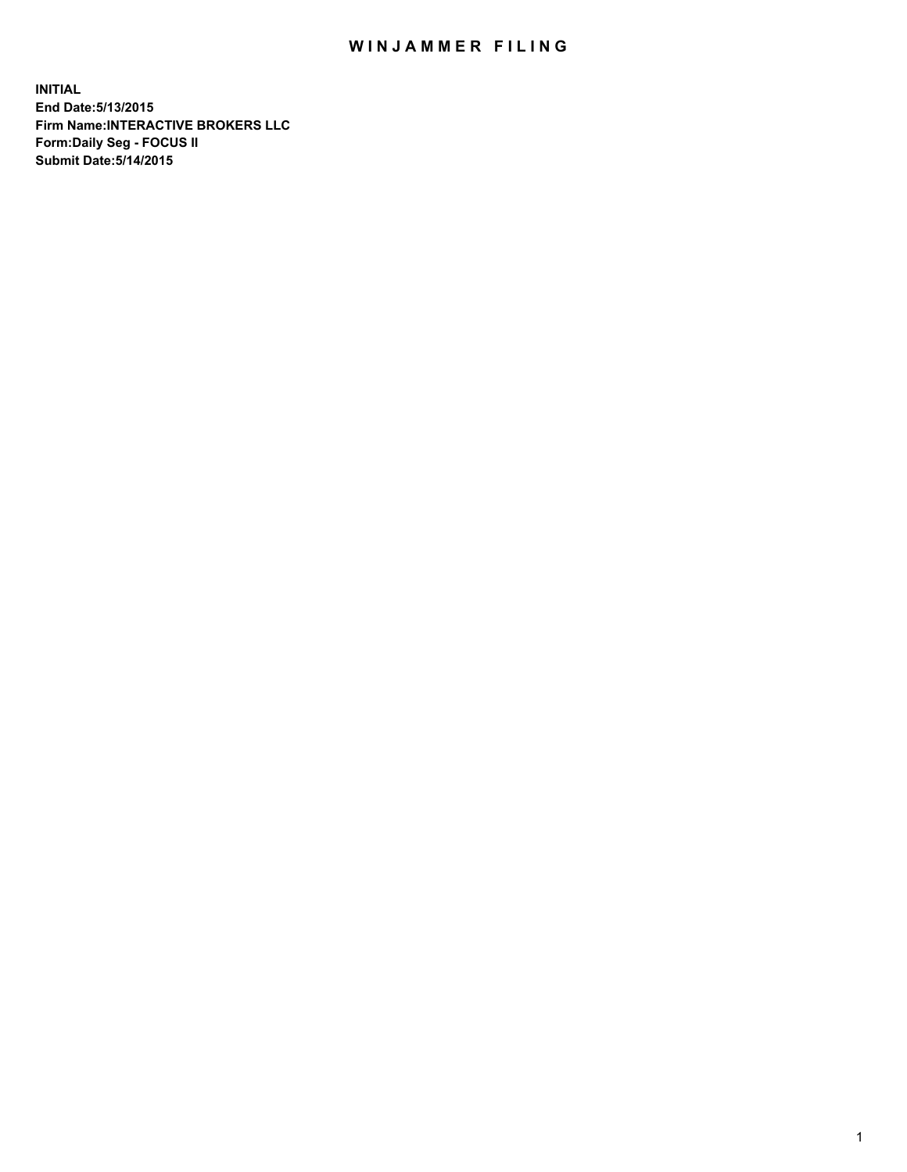## WIN JAMMER FILING

**INITIAL End Date:5/13/2015 Firm Name:INTERACTIVE BROKERS LLC Form:Daily Seg - FOCUS II Submit Date:5/14/2015**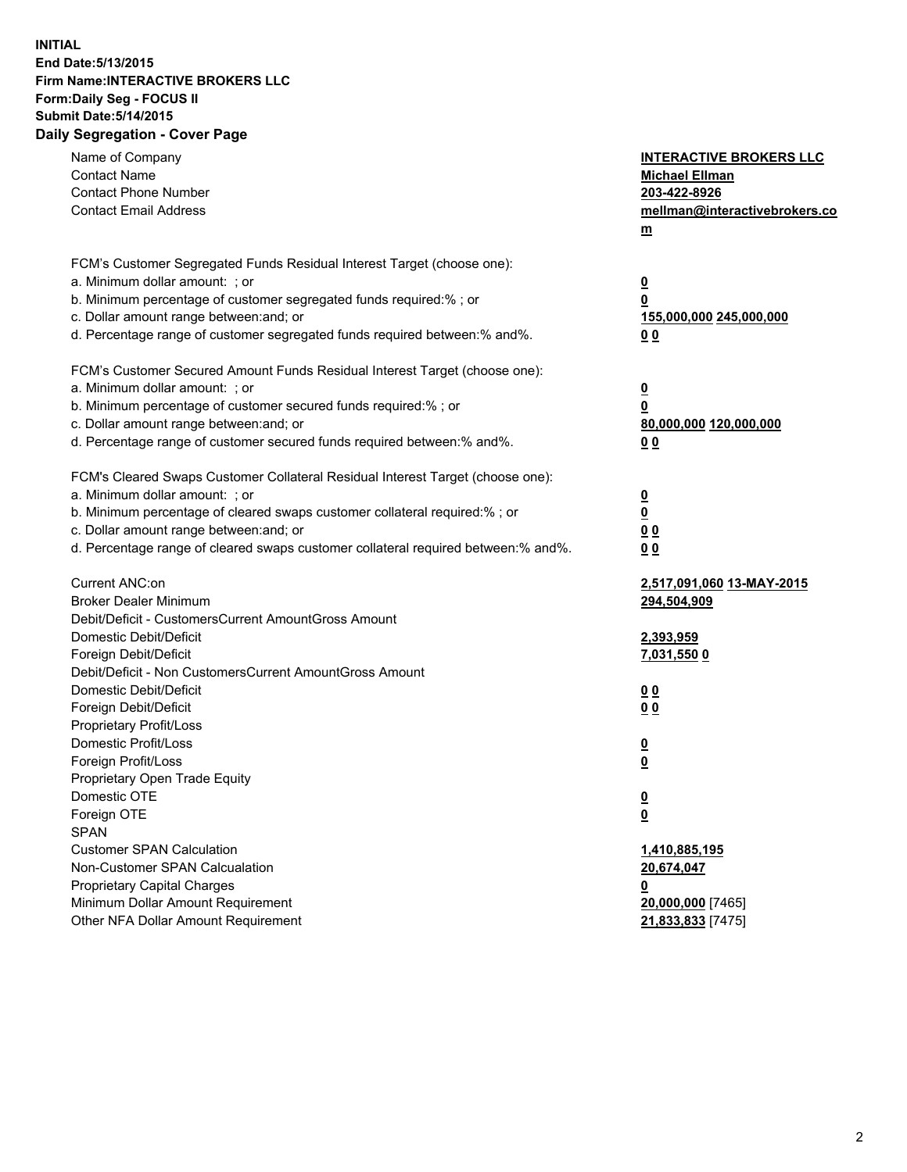## **INITIAL End Date:5/13/2015 Firm Name:INTERACTIVE BROKERS LLC Form:Daily Seg - FOCUS II Submit Date:5/14/2015 Daily Segregation - Cover Page**

| FCM's Customer Segregated Funds Residual Interest Target (choose one):<br>a. Minimum dollar amount: ; or<br>$\overline{\mathbf{0}}$<br>b. Minimum percentage of customer segregated funds required:% ; or<br>0<br>c. Dollar amount range between: and; or<br>155,000,000 245,000,000<br>d. Percentage range of customer segregated funds required between:% and%.<br>0 <sub>0</sub><br>FCM's Customer Secured Amount Funds Residual Interest Target (choose one):<br>a. Minimum dollar amount: ; or<br>$\overline{\mathbf{0}}$<br>b. Minimum percentage of customer secured funds required:% ; or<br>0<br>c. Dollar amount range between: and; or<br>80,000,000 120,000,000<br>d. Percentage range of customer secured funds required between:% and%.<br>0 <sub>0</sub><br>FCM's Cleared Swaps Customer Collateral Residual Interest Target (choose one):<br>a. Minimum dollar amount: ; or<br>$\overline{\mathbf{0}}$<br>b. Minimum percentage of cleared swaps customer collateral required:% ; or<br>$\overline{\mathbf{0}}$<br>c. Dollar amount range between: and; or<br>0 <sub>0</sub><br>d. Percentage range of cleared swaps customer collateral required between:% and%.<br>0 <sub>0</sub><br>Current ANC:on<br>2,517,091,060 13-MAY-2015<br><b>Broker Dealer Minimum</b><br>294,504,909<br>Debit/Deficit - CustomersCurrent AmountGross Amount<br>Domestic Debit/Deficit<br>2,393,959<br>Foreign Debit/Deficit<br><u>7,031,550 0</u><br>Debit/Deficit - Non CustomersCurrent AmountGross Amount<br>Domestic Debit/Deficit<br>0 <sub>0</sub><br>Foreign Debit/Deficit<br>0 <sub>0</sub><br>Proprietary Profit/Loss<br>Domestic Profit/Loss<br>$\overline{\mathbf{0}}$<br>Foreign Profit/Loss<br>$\underline{\mathbf{0}}$<br>Proprietary Open Trade Equity<br>Domestic OTE<br><u>0</u><br>Foreign OTE<br><u>0</u><br><b>SPAN</b><br><b>Customer SPAN Calculation</b><br>1,410,885,195<br>Non-Customer SPAN Calcualation<br>20,674,047<br>Proprietary Capital Charges<br><u>0</u><br>Minimum Dollar Amount Requirement<br>20,000,000 [7465]<br>Other NFA Dollar Amount Requirement<br>21,833,833 [7475] | Name of Company<br><b>Contact Name</b><br><b>Contact Phone Number</b><br><b>Contact Email Address</b> | <b>INTERACTIVE BROKERS LLC</b><br><b>Michael Ellman</b><br>203-422-8926<br>mellman@interactivebrokers.co<br>$m$ |
|----------------------------------------------------------------------------------------------------------------------------------------------------------------------------------------------------------------------------------------------------------------------------------------------------------------------------------------------------------------------------------------------------------------------------------------------------------------------------------------------------------------------------------------------------------------------------------------------------------------------------------------------------------------------------------------------------------------------------------------------------------------------------------------------------------------------------------------------------------------------------------------------------------------------------------------------------------------------------------------------------------------------------------------------------------------------------------------------------------------------------------------------------------------------------------------------------------------------------------------------------------------------------------------------------------------------------------------------------------------------------------------------------------------------------------------------------------------------------------------------------------------------------------------------------------------------------------------------------------------------------------------------------------------------------------------------------------------------------------------------------------------------------------------------------------------------------------------------------------------------------------------------------------------------------------------------------------------------------------------------------------------------------------------------------------------------------------------------------------------|-------------------------------------------------------------------------------------------------------|-----------------------------------------------------------------------------------------------------------------|
|                                                                                                                                                                                                                                                                                                                                                                                                                                                                                                                                                                                                                                                                                                                                                                                                                                                                                                                                                                                                                                                                                                                                                                                                                                                                                                                                                                                                                                                                                                                                                                                                                                                                                                                                                                                                                                                                                                                                                                                                                                                                                                                |                                                                                                       |                                                                                                                 |
|                                                                                                                                                                                                                                                                                                                                                                                                                                                                                                                                                                                                                                                                                                                                                                                                                                                                                                                                                                                                                                                                                                                                                                                                                                                                                                                                                                                                                                                                                                                                                                                                                                                                                                                                                                                                                                                                                                                                                                                                                                                                                                                |                                                                                                       |                                                                                                                 |
|                                                                                                                                                                                                                                                                                                                                                                                                                                                                                                                                                                                                                                                                                                                                                                                                                                                                                                                                                                                                                                                                                                                                                                                                                                                                                                                                                                                                                                                                                                                                                                                                                                                                                                                                                                                                                                                                                                                                                                                                                                                                                                                |                                                                                                       |                                                                                                                 |
|                                                                                                                                                                                                                                                                                                                                                                                                                                                                                                                                                                                                                                                                                                                                                                                                                                                                                                                                                                                                                                                                                                                                                                                                                                                                                                                                                                                                                                                                                                                                                                                                                                                                                                                                                                                                                                                                                                                                                                                                                                                                                                                |                                                                                                       |                                                                                                                 |
|                                                                                                                                                                                                                                                                                                                                                                                                                                                                                                                                                                                                                                                                                                                                                                                                                                                                                                                                                                                                                                                                                                                                                                                                                                                                                                                                                                                                                                                                                                                                                                                                                                                                                                                                                                                                                                                                                                                                                                                                                                                                                                                |                                                                                                       |                                                                                                                 |
|                                                                                                                                                                                                                                                                                                                                                                                                                                                                                                                                                                                                                                                                                                                                                                                                                                                                                                                                                                                                                                                                                                                                                                                                                                                                                                                                                                                                                                                                                                                                                                                                                                                                                                                                                                                                                                                                                                                                                                                                                                                                                                                |                                                                                                       |                                                                                                                 |
|                                                                                                                                                                                                                                                                                                                                                                                                                                                                                                                                                                                                                                                                                                                                                                                                                                                                                                                                                                                                                                                                                                                                                                                                                                                                                                                                                                                                                                                                                                                                                                                                                                                                                                                                                                                                                                                                                                                                                                                                                                                                                                                |                                                                                                       |                                                                                                                 |
|                                                                                                                                                                                                                                                                                                                                                                                                                                                                                                                                                                                                                                                                                                                                                                                                                                                                                                                                                                                                                                                                                                                                                                                                                                                                                                                                                                                                                                                                                                                                                                                                                                                                                                                                                                                                                                                                                                                                                                                                                                                                                                                |                                                                                                       |                                                                                                                 |
|                                                                                                                                                                                                                                                                                                                                                                                                                                                                                                                                                                                                                                                                                                                                                                                                                                                                                                                                                                                                                                                                                                                                                                                                                                                                                                                                                                                                                                                                                                                                                                                                                                                                                                                                                                                                                                                                                                                                                                                                                                                                                                                |                                                                                                       |                                                                                                                 |
|                                                                                                                                                                                                                                                                                                                                                                                                                                                                                                                                                                                                                                                                                                                                                                                                                                                                                                                                                                                                                                                                                                                                                                                                                                                                                                                                                                                                                                                                                                                                                                                                                                                                                                                                                                                                                                                                                                                                                                                                                                                                                                                |                                                                                                       |                                                                                                                 |
|                                                                                                                                                                                                                                                                                                                                                                                                                                                                                                                                                                                                                                                                                                                                                                                                                                                                                                                                                                                                                                                                                                                                                                                                                                                                                                                                                                                                                                                                                                                                                                                                                                                                                                                                                                                                                                                                                                                                                                                                                                                                                                                |                                                                                                       |                                                                                                                 |
|                                                                                                                                                                                                                                                                                                                                                                                                                                                                                                                                                                                                                                                                                                                                                                                                                                                                                                                                                                                                                                                                                                                                                                                                                                                                                                                                                                                                                                                                                                                                                                                                                                                                                                                                                                                                                                                                                                                                                                                                                                                                                                                |                                                                                                       |                                                                                                                 |
|                                                                                                                                                                                                                                                                                                                                                                                                                                                                                                                                                                                                                                                                                                                                                                                                                                                                                                                                                                                                                                                                                                                                                                                                                                                                                                                                                                                                                                                                                                                                                                                                                                                                                                                                                                                                                                                                                                                                                                                                                                                                                                                |                                                                                                       |                                                                                                                 |
|                                                                                                                                                                                                                                                                                                                                                                                                                                                                                                                                                                                                                                                                                                                                                                                                                                                                                                                                                                                                                                                                                                                                                                                                                                                                                                                                                                                                                                                                                                                                                                                                                                                                                                                                                                                                                                                                                                                                                                                                                                                                                                                |                                                                                                       |                                                                                                                 |
|                                                                                                                                                                                                                                                                                                                                                                                                                                                                                                                                                                                                                                                                                                                                                                                                                                                                                                                                                                                                                                                                                                                                                                                                                                                                                                                                                                                                                                                                                                                                                                                                                                                                                                                                                                                                                                                                                                                                                                                                                                                                                                                |                                                                                                       |                                                                                                                 |
|                                                                                                                                                                                                                                                                                                                                                                                                                                                                                                                                                                                                                                                                                                                                                                                                                                                                                                                                                                                                                                                                                                                                                                                                                                                                                                                                                                                                                                                                                                                                                                                                                                                                                                                                                                                                                                                                                                                                                                                                                                                                                                                |                                                                                                       |                                                                                                                 |
|                                                                                                                                                                                                                                                                                                                                                                                                                                                                                                                                                                                                                                                                                                                                                                                                                                                                                                                                                                                                                                                                                                                                                                                                                                                                                                                                                                                                                                                                                                                                                                                                                                                                                                                                                                                                                                                                                                                                                                                                                                                                                                                |                                                                                                       |                                                                                                                 |
|                                                                                                                                                                                                                                                                                                                                                                                                                                                                                                                                                                                                                                                                                                                                                                                                                                                                                                                                                                                                                                                                                                                                                                                                                                                                                                                                                                                                                                                                                                                                                                                                                                                                                                                                                                                                                                                                                                                                                                                                                                                                                                                |                                                                                                       |                                                                                                                 |
|                                                                                                                                                                                                                                                                                                                                                                                                                                                                                                                                                                                                                                                                                                                                                                                                                                                                                                                                                                                                                                                                                                                                                                                                                                                                                                                                                                                                                                                                                                                                                                                                                                                                                                                                                                                                                                                                                                                                                                                                                                                                                                                |                                                                                                       |                                                                                                                 |
|                                                                                                                                                                                                                                                                                                                                                                                                                                                                                                                                                                                                                                                                                                                                                                                                                                                                                                                                                                                                                                                                                                                                                                                                                                                                                                                                                                                                                                                                                                                                                                                                                                                                                                                                                                                                                                                                                                                                                                                                                                                                                                                |                                                                                                       |                                                                                                                 |
|                                                                                                                                                                                                                                                                                                                                                                                                                                                                                                                                                                                                                                                                                                                                                                                                                                                                                                                                                                                                                                                                                                                                                                                                                                                                                                                                                                                                                                                                                                                                                                                                                                                                                                                                                                                                                                                                                                                                                                                                                                                                                                                |                                                                                                       |                                                                                                                 |
|                                                                                                                                                                                                                                                                                                                                                                                                                                                                                                                                                                                                                                                                                                                                                                                                                                                                                                                                                                                                                                                                                                                                                                                                                                                                                                                                                                                                                                                                                                                                                                                                                                                                                                                                                                                                                                                                                                                                                                                                                                                                                                                |                                                                                                       |                                                                                                                 |
|                                                                                                                                                                                                                                                                                                                                                                                                                                                                                                                                                                                                                                                                                                                                                                                                                                                                                                                                                                                                                                                                                                                                                                                                                                                                                                                                                                                                                                                                                                                                                                                                                                                                                                                                                                                                                                                                                                                                                                                                                                                                                                                |                                                                                                       |                                                                                                                 |
|                                                                                                                                                                                                                                                                                                                                                                                                                                                                                                                                                                                                                                                                                                                                                                                                                                                                                                                                                                                                                                                                                                                                                                                                                                                                                                                                                                                                                                                                                                                                                                                                                                                                                                                                                                                                                                                                                                                                                                                                                                                                                                                |                                                                                                       |                                                                                                                 |
|                                                                                                                                                                                                                                                                                                                                                                                                                                                                                                                                                                                                                                                                                                                                                                                                                                                                                                                                                                                                                                                                                                                                                                                                                                                                                                                                                                                                                                                                                                                                                                                                                                                                                                                                                                                                                                                                                                                                                                                                                                                                                                                |                                                                                                       |                                                                                                                 |
|                                                                                                                                                                                                                                                                                                                                                                                                                                                                                                                                                                                                                                                                                                                                                                                                                                                                                                                                                                                                                                                                                                                                                                                                                                                                                                                                                                                                                                                                                                                                                                                                                                                                                                                                                                                                                                                                                                                                                                                                                                                                                                                |                                                                                                       |                                                                                                                 |
|                                                                                                                                                                                                                                                                                                                                                                                                                                                                                                                                                                                                                                                                                                                                                                                                                                                                                                                                                                                                                                                                                                                                                                                                                                                                                                                                                                                                                                                                                                                                                                                                                                                                                                                                                                                                                                                                                                                                                                                                                                                                                                                |                                                                                                       |                                                                                                                 |
|                                                                                                                                                                                                                                                                                                                                                                                                                                                                                                                                                                                                                                                                                                                                                                                                                                                                                                                                                                                                                                                                                                                                                                                                                                                                                                                                                                                                                                                                                                                                                                                                                                                                                                                                                                                                                                                                                                                                                                                                                                                                                                                |                                                                                                       |                                                                                                                 |
|                                                                                                                                                                                                                                                                                                                                                                                                                                                                                                                                                                                                                                                                                                                                                                                                                                                                                                                                                                                                                                                                                                                                                                                                                                                                                                                                                                                                                                                                                                                                                                                                                                                                                                                                                                                                                                                                                                                                                                                                                                                                                                                |                                                                                                       |                                                                                                                 |
|                                                                                                                                                                                                                                                                                                                                                                                                                                                                                                                                                                                                                                                                                                                                                                                                                                                                                                                                                                                                                                                                                                                                                                                                                                                                                                                                                                                                                                                                                                                                                                                                                                                                                                                                                                                                                                                                                                                                                                                                                                                                                                                |                                                                                                       |                                                                                                                 |
|                                                                                                                                                                                                                                                                                                                                                                                                                                                                                                                                                                                                                                                                                                                                                                                                                                                                                                                                                                                                                                                                                                                                                                                                                                                                                                                                                                                                                                                                                                                                                                                                                                                                                                                                                                                                                                                                                                                                                                                                                                                                                                                |                                                                                                       |                                                                                                                 |
|                                                                                                                                                                                                                                                                                                                                                                                                                                                                                                                                                                                                                                                                                                                                                                                                                                                                                                                                                                                                                                                                                                                                                                                                                                                                                                                                                                                                                                                                                                                                                                                                                                                                                                                                                                                                                                                                                                                                                                                                                                                                                                                |                                                                                                       |                                                                                                                 |
|                                                                                                                                                                                                                                                                                                                                                                                                                                                                                                                                                                                                                                                                                                                                                                                                                                                                                                                                                                                                                                                                                                                                                                                                                                                                                                                                                                                                                                                                                                                                                                                                                                                                                                                                                                                                                                                                                                                                                                                                                                                                                                                |                                                                                                       |                                                                                                                 |
|                                                                                                                                                                                                                                                                                                                                                                                                                                                                                                                                                                                                                                                                                                                                                                                                                                                                                                                                                                                                                                                                                                                                                                                                                                                                                                                                                                                                                                                                                                                                                                                                                                                                                                                                                                                                                                                                                                                                                                                                                                                                                                                |                                                                                                       |                                                                                                                 |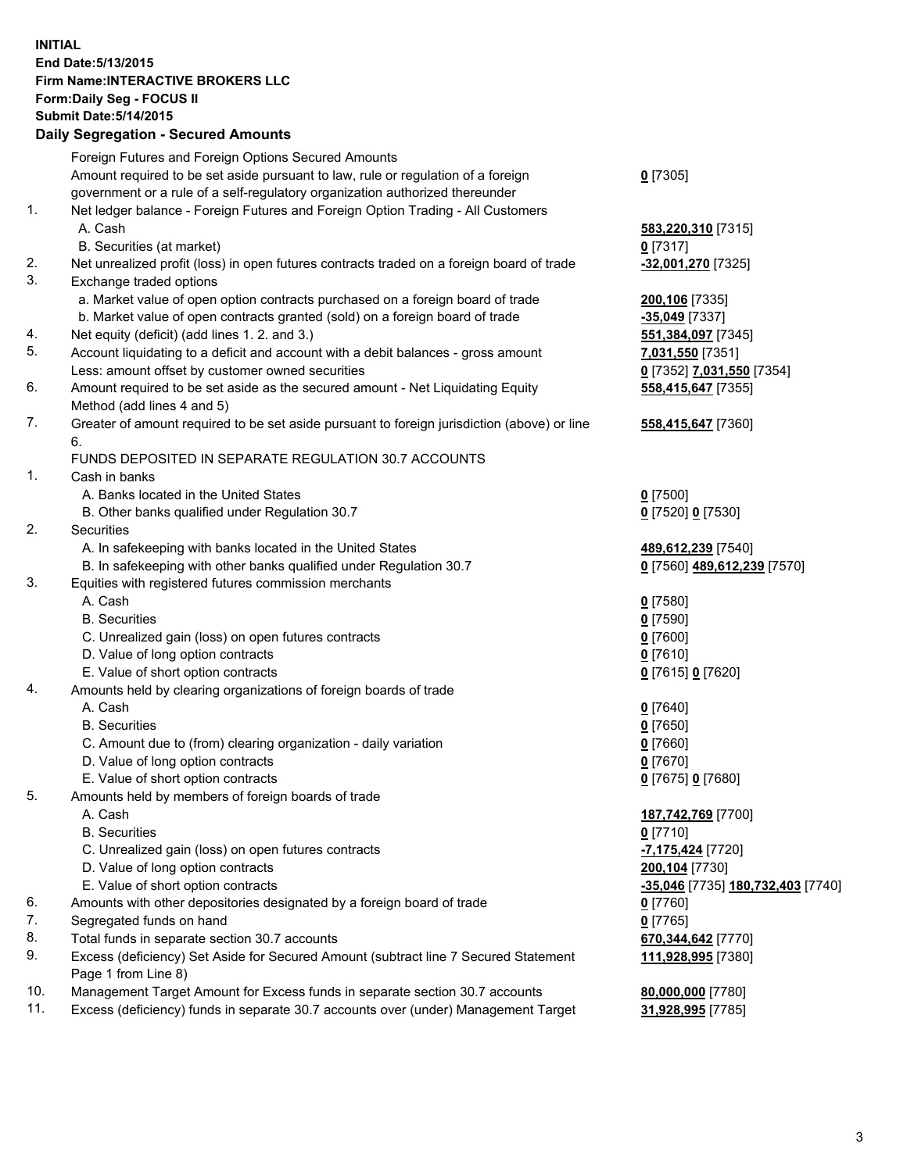## **INITIAL End Date:5/13/2015 Firm Name:INTERACTIVE BROKERS LLC Form:Daily Seg - FOCUS II Submit Date:5/14/2015 Daily Segregation - Secured Amounts**

|                | Daily Jegregation - Jeculed Aniounts                                                                       |                                   |
|----------------|------------------------------------------------------------------------------------------------------------|-----------------------------------|
|                | Foreign Futures and Foreign Options Secured Amounts                                                        |                                   |
|                | Amount required to be set aside pursuant to law, rule or regulation of a foreign                           | $0$ [7305]                        |
|                | government or a rule of a self-regulatory organization authorized thereunder                               |                                   |
| 1.             | Net ledger balance - Foreign Futures and Foreign Option Trading - All Customers                            |                                   |
|                | A. Cash                                                                                                    | 583,220,310 [7315]                |
|                | B. Securities (at market)                                                                                  | $0$ [7317]                        |
| 2.             | Net unrealized profit (loss) in open futures contracts traded on a foreign board of trade                  | -32,001,270 [7325]                |
| 3.             | Exchange traded options                                                                                    |                                   |
|                | a. Market value of open option contracts purchased on a foreign board of trade                             | 200,106 [7335]                    |
|                | b. Market value of open contracts granted (sold) on a foreign board of trade                               | -35,049 [7337]                    |
| 4.             | Net equity (deficit) (add lines 1.2. and 3.)                                                               | 551,384,097 [7345]                |
| 5.             | Account liquidating to a deficit and account with a debit balances - gross amount                          | 7,031,550 [7351]                  |
|                | Less: amount offset by customer owned securities                                                           | 0 [7352] 7,031,550 [7354]         |
| 6.             | Amount required to be set aside as the secured amount - Net Liquidating Equity                             | 558,415,647 [7355]                |
|                | Method (add lines 4 and 5)                                                                                 |                                   |
| 7.             | Greater of amount required to be set aside pursuant to foreign jurisdiction (above) or line                | 558,415,647 [7360]                |
|                | 6.                                                                                                         |                                   |
|                | FUNDS DEPOSITED IN SEPARATE REGULATION 30.7 ACCOUNTS                                                       |                                   |
| $\mathbf{1}$ . | Cash in banks                                                                                              |                                   |
|                | A. Banks located in the United States                                                                      | $0$ [7500]                        |
|                | B. Other banks qualified under Regulation 30.7                                                             | 0 [7520] 0 [7530]                 |
| 2.             | Securities                                                                                                 |                                   |
|                | A. In safekeeping with banks located in the United States                                                  | 489,612,239 [7540]                |
|                | B. In safekeeping with other banks qualified under Regulation 30.7                                         | 0 [7560] 489,612,239 [7570]       |
| 3.             | Equities with registered futures commission merchants                                                      |                                   |
|                | A. Cash                                                                                                    | $0$ [7580]                        |
|                | <b>B.</b> Securities                                                                                       | $0$ [7590]                        |
|                | C. Unrealized gain (loss) on open futures contracts                                                        | $0$ [7600]                        |
|                | D. Value of long option contracts                                                                          | $0$ [7610]                        |
|                | E. Value of short option contracts                                                                         | 0 [7615] 0 [7620]                 |
| 4.             | Amounts held by clearing organizations of foreign boards of trade                                          |                                   |
|                | A. Cash                                                                                                    | $0$ [7640]                        |
|                | <b>B.</b> Securities                                                                                       | $0$ [7650]                        |
|                | C. Amount due to (from) clearing organization - daily variation                                            | $0$ [7660]                        |
|                | D. Value of long option contracts                                                                          | $0$ [7670]                        |
|                | E. Value of short option contracts                                                                         | 0 [7675] 0 [7680]                 |
| 5.             | Amounts held by members of foreign boards of trade                                                         |                                   |
|                | A. Cash                                                                                                    | 187,742,769 [7700]                |
|                | <b>B.</b> Securities                                                                                       | $0$ [7710]                        |
|                | C. Unrealized gain (loss) on open futures contracts                                                        | -7,175,424 [7720]                 |
|                | D. Value of long option contracts                                                                          | 200,104 [7730]                    |
|                | E. Value of short option contracts                                                                         | -35,046 [7735] 180,732,403 [7740] |
| 6.             | Amounts with other depositories designated by a foreign board of trade                                     | 0 [7760]                          |
| 7.             | Segregated funds on hand                                                                                   | $0$ [7765]                        |
| 8.             | Total funds in separate section 30.7 accounts                                                              | 670,344,642 [7770]                |
| 9.             | Excess (deficiency) Set Aside for Secured Amount (subtract line 7 Secured Statement<br>Page 1 from Line 8) | 111,928,995 [7380]                |
| 10.            | Management Target Amount for Excess funds in separate section 30.7 accounts                                | 80,000,000 [7780]                 |
| 11.            | Excess (deficiency) funds in separate 30.7 accounts over (under) Management Target                         | 31,928,995 [7785]                 |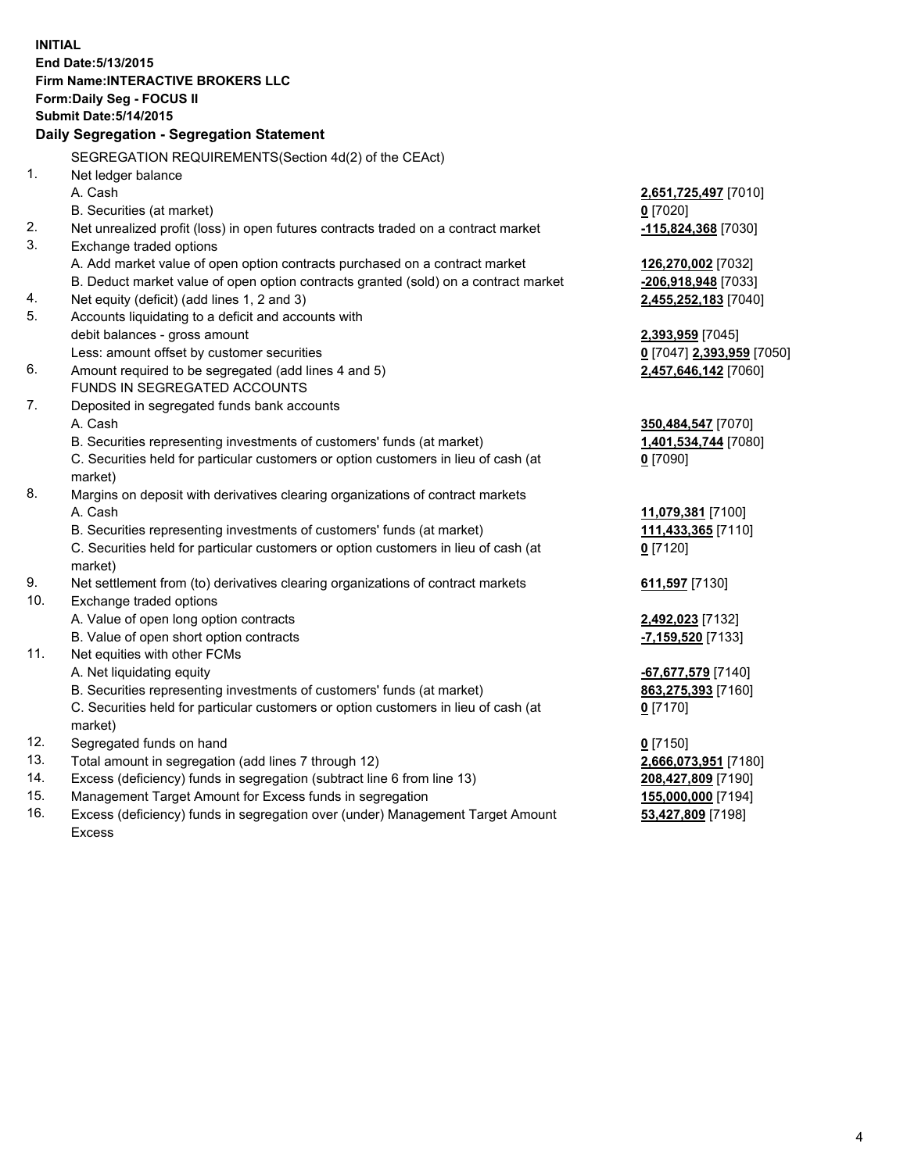**INITIAL End Date:5/13/2015 Firm Name:INTERACTIVE BROKERS LLC Form:Daily Seg - FOCUS II Submit Date:5/14/2015 Daily Segregation - Segregation Statement** SEGREGATION REQUIREMENTS(Section 4d(2) of the CEAct) 1. Net ledger balance A. Cash **2,651,725,497** [7010] B. Securities (at market) **0** [7020] 2. Net unrealized profit (loss) in open futures contracts traded on a contract market **-115,824,368** [7030] 3. Exchange traded options A. Add market value of open option contracts purchased on a contract market **126,270,002** [7032] B. Deduct market value of open option contracts granted (sold) on a contract market **-206,918,948** [7033] 4. Net equity (deficit) (add lines 1, 2 and 3) **2,455,252,183** [7040] 5. Accounts liquidating to a deficit and accounts with debit balances - gross amount **2,393,959** [7045] Less: amount offset by customer securities **0** [7047] **2,393,959** [7050] 6. Amount required to be segregated (add lines 4 and 5) **2,457,646,142** [7060] FUNDS IN SEGREGATED ACCOUNTS 7. Deposited in segregated funds bank accounts A. Cash **350,484,547** [7070] B. Securities representing investments of customers' funds (at market) **1,401,534,744** [7080] C. Securities held for particular customers or option customers in lieu of cash (at market) **0** [7090] 8. Margins on deposit with derivatives clearing organizations of contract markets A. Cash **11,079,381** [7100] B. Securities representing investments of customers' funds (at market) **111,433,365** [7110] C. Securities held for particular customers or option customers in lieu of cash (at market) **0** [7120] 9. Net settlement from (to) derivatives clearing organizations of contract markets **611,597** [7130] 10. Exchange traded options A. Value of open long option contracts **2,492,023** [7132] B. Value of open short option contracts **-7,159,520** [7133] 11. Net equities with other FCMs A. Net liquidating equity **-67,677,579** [7140] B. Securities representing investments of customers' funds (at market) **863,275,393** [7160] C. Securities held for particular customers or option customers in lieu of cash (at market) **0** [7170] 12. Segregated funds on hand **0** [7150] 13. Total amount in segregation (add lines 7 through 12) **2,666,073,951** [7180] 14. Excess (deficiency) funds in segregation (subtract line 6 from line 13) **208,427,809** [7190] 15. Management Target Amount for Excess funds in segregation **155,000,000** [7194]

16. Excess (deficiency) funds in segregation over (under) Management Target Amount Excess

**53,427,809** [7198]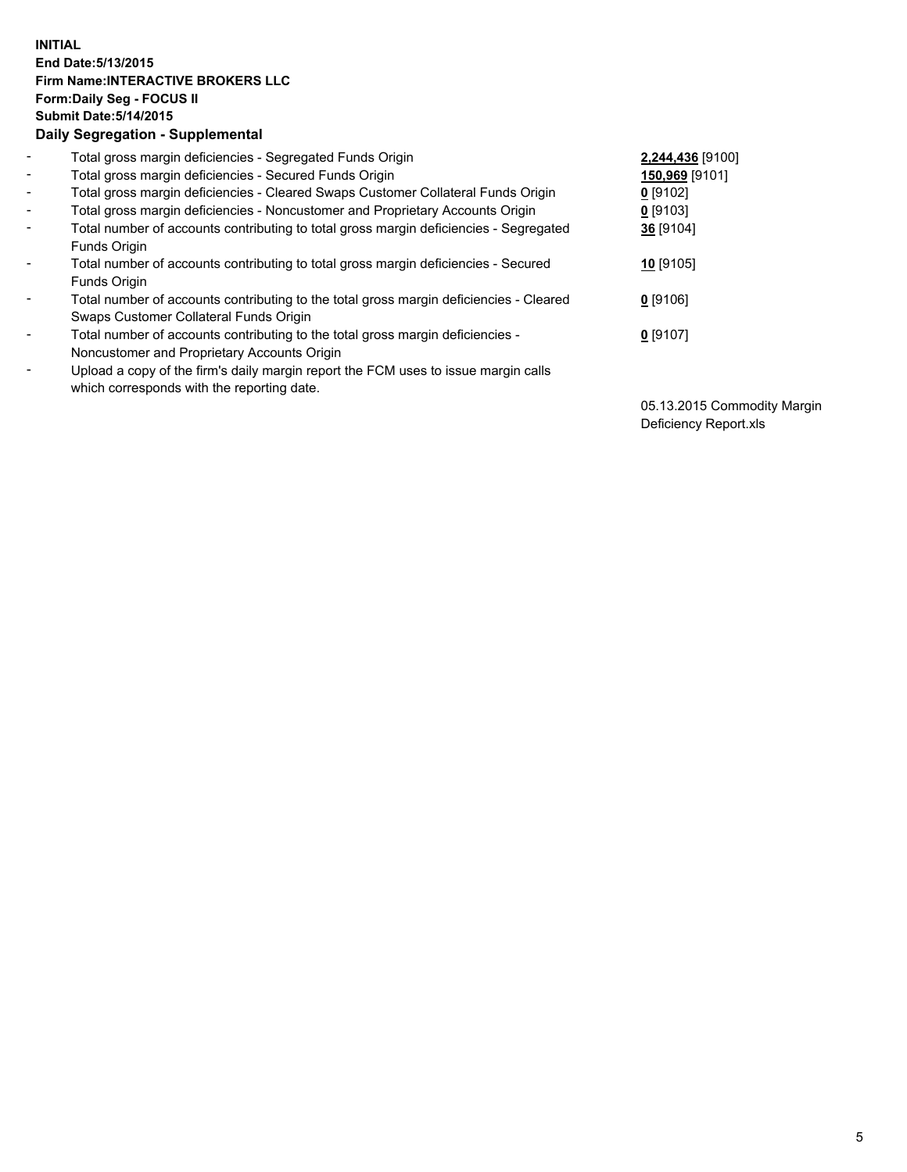## **INITIAL End Date:5/13/2015 Firm Name:INTERACTIVE BROKERS LLC Form:Daily Seg - FOCUS II Submit Date:5/14/2015 Daily Segregation - Supplemental**

| $\blacksquare$ | Total gross margin deficiencies - Segregated Funds Origin                                          | 2,244,436 [9100] |  |
|----------------|----------------------------------------------------------------------------------------------------|------------------|--|
| $\blacksquare$ | Total gross margin deficiencies - Secured Funds Origin                                             | 150,969 [9101]   |  |
| $\blacksquare$ | Total gross margin deficiencies - Cleared Swaps Customer Collateral Funds Origin                   | $0$ [9102]       |  |
| $\blacksquare$ | Total gross margin deficiencies - Noncustomer and Proprietary Accounts Origin                      | 0 [9103]         |  |
| $\blacksquare$ | Total number of accounts contributing to total gross margin deficiencies - Segregated              | 36 [9104]        |  |
|                | Funds Origin                                                                                       |                  |  |
| $\blacksquare$ | Total number of accounts contributing to total gross margin deficiencies - Secured<br>Funds Origin | $10$ [9105]      |  |
|                | Total number of accounts contributing to the total gross margin deficiencies - Cleared             | $0$ [9106]       |  |
|                | Swaps Customer Collateral Funds Origin                                                             |                  |  |
| $\blacksquare$ | Total number of accounts contributing to the total gross margin deficiencies -                     | 0 [9107]         |  |
|                | Noncustomer and Proprietary Accounts Origin                                                        |                  |  |
| $\blacksquare$ | Upload a copy of the firm's daily margin report the FCM uses to issue margin calls                 |                  |  |
|                | which corresponds with the reporting date.                                                         |                  |  |

05.13.2015 Commodity Margin Deficiency Report.xls